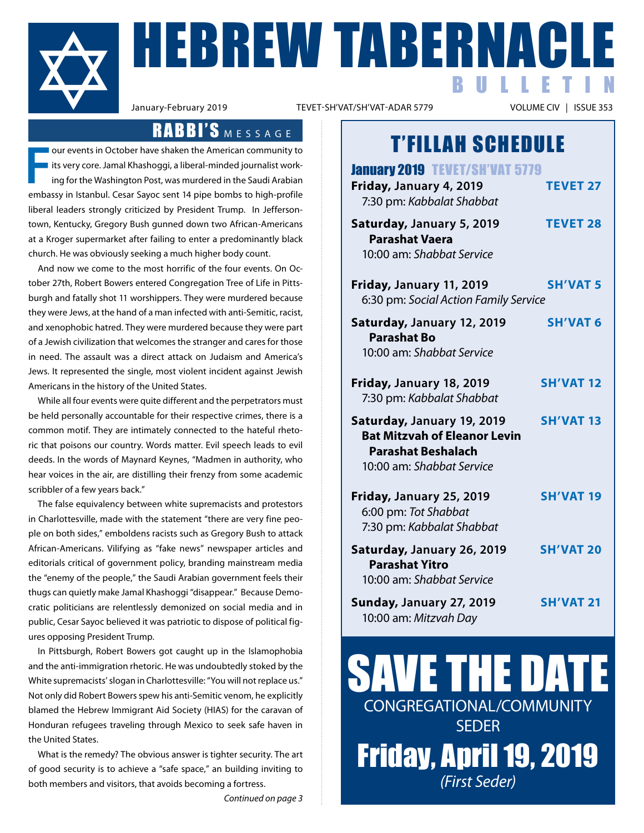

**FRABERNACLE** BULLETIN

TEVET-SH'VAT/SH'VAT-ADAR 5779

### RABBI'S MESSAGE

**F** our events in October have shaken the American community to I its very core. Jamal Khashoggi, a liberal-minded journalist working for the Washington Post, was murdered in the Saudi Arabian embassy in Istanbul. Cesar Sayoc sent 14 pipe bombs to high-profile liberal leaders strongly criticized by President Trump. In Jeffersontown, Kentucky, Gregory Bush gunned down two African-Americans at a Kroger supermarket after failing to enter a predominantly black church. he was obviously seeking a much higher body count.

 and now we come to the most horrific of the four events. On October 27th, Robert Bowers entered Congregation Tree of Life in Pittsburgh and fatally shot 11 worshippers. They were murdered because they were Jews, at the hand of a man infected with anti-Semitic, racist, and xenophobic hatred. They were murdered because they were part of a Jewish civilization that welcomes the stranger and cares for those in need. The assault was a direct attack on Judaism and America's Jews. It represented the single, most violent incident against Jewish americans in the history of the United States.

While all four events were quite different and the perpetrators must be held personally accountable for their respective crimes, there is a common motif. They are intimately connected to the hateful rhetoric that poisons our country. Words matter. Evil speech leads to evil deeds. In the words of Maynard Keynes, "Madmen in authority, who hear voices in the air, are distilling their frenzy from some academic scribbler of a few years back."

The false equivalency between white supremacists and protestors in Charlottesville, made with the statement "there are very fine people on both sides," emboldens racists such as Gregory Bush to attack African-Americans. Vilifying as "fake news" newspaper articles and editorials critical of government policy, branding mainstream media the "enemy of the people," the Saudi Arabian government feels their thugs can quietly make Jamal Khashoggi "disappear." Because Democratic politicians are relentlessly demonized on social media and in public, Cesar Sayoc believed it was patriotic to dispose of political figures opposing President Trump.

In Pittsburgh, Robert Bowers got caught up in the Islamophobia and the anti-immigration rhetoric. he was undoubtedly stoked by the White supremacists' slogan in Charlottesville: "You will not replace us." Not only did Robert Bowers spew his anti-Semitic venom, he explicitly blamed the Hebrew Immigrant Aid Society (HIAS) for the caravan of honduran refugees traveling through Mexico to seek safe haven in the United States.

What is the remedy? The obvious answer is tighter security. The art of good security is to achieve a "safe space," an building inviting to both members and visitors, that avoids becoming a fortress.

## T'FILLAH SCHEDULE

| <b>January 2019 TEVET/SH'VAT 5779</b><br>Friday, January 4, 2019<br>7:30 pm: Kabbalat Shabbat                               | <b>TEVET 27</b>  |
|-----------------------------------------------------------------------------------------------------------------------------|------------------|
| Saturday, January 5, 2019<br><b>Parashat Vaera</b><br>10:00 am: Shabbat Service                                             | <b>TEVET 28</b>  |
| Friday, January 11, 2019<br>6:30 pm: Social Action Family Service                                                           | <b>SH'VAT 5</b>  |
| Saturday, January 12, 2019<br><b>Parashat Bo</b><br>10:00 am: Shabbat Service                                               | <b>SH'VAT 6</b>  |
| Friday, January 18, 2019<br>7:30 pm: Kabbalat Shabbat                                                                       | <b>SH'VAT 12</b> |
| Saturday, January 19, 2019<br><b>Bat Mitzvah of Eleanor Levin</b><br><b>Parashat Beshalach</b><br>10:00 am: Shabbat Service | <b>SH'VAT 13</b> |
| Friday, January 25, 2019<br>6:00 pm: Tot Shabbat<br>7:30 pm: Kabbalat Shabbat                                               | <b>SH'VAT 19</b> |
| Saturday, January 26, 2019<br><b>Parashat Yitro</b><br>10:00 am: Shabbat Service                                            | <b>SH'VAT 20</b> |
| Sunday, January 27, 2019<br>10:00 am: Mitzvah Day                                                                           | <b>SH'VAT 21</b> |

SAVE THE DATE CONGreGatIONaL/COMMUNItY **SEDER** Friday, April 19, 2019 *(First Seder)*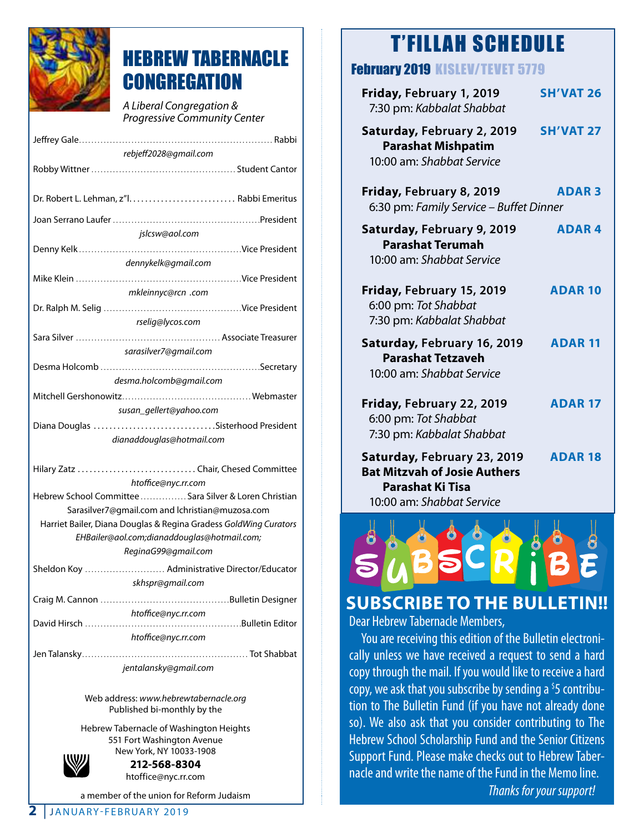

### HEBREW TABERNACLE **CONGREGATION**

*A Liberal Congregation & Progressive Community Center* 

| rebjeff2028@gmail.com                                            |  |  |
|------------------------------------------------------------------|--|--|
|                                                                  |  |  |
|                                                                  |  |  |
|                                                                  |  |  |
|                                                                  |  |  |
| jslcsw@aol.com                                                   |  |  |
|                                                                  |  |  |
| dennykelk@gmail.com                                              |  |  |
|                                                                  |  |  |
| mkleinnyc@rcn .com                                               |  |  |
|                                                                  |  |  |
| rselig@lycos.com                                                 |  |  |
|                                                                  |  |  |
| sarasilver7@gmail.com                                            |  |  |
|                                                                  |  |  |
| desma.holcomb@gmail.com                                          |  |  |
|                                                                  |  |  |
| susan_gellert@yahoo.com                                          |  |  |
| Diana Douglas Sisterhood President                               |  |  |
| dianaddouglas@hotmail.com                                        |  |  |
|                                                                  |  |  |
| Hilary Zatz Chair, Chesed Committee<br>htoffice@nyc.rr.com       |  |  |
| Hebrew School Committee  Sara Silver & Loren Christian           |  |  |
| Sarasilver7@gmail.com and lchristian@muzosa.com                  |  |  |
| Harriet Bailer, Diana Douglas & Regina Gradess GoldWing Curators |  |  |
| EHBailer@aol.com;dianaddouglas@hotmail.com;                      |  |  |
| ReginaG99@gmail.com                                              |  |  |
| Sheldon Koy  Administrative Director/Educator                    |  |  |
| skhspr@gmail.com                                                 |  |  |
|                                                                  |  |  |
| htoffice@nyc.rr.com                                              |  |  |
| David Hirsch                                                     |  |  |
| htoffice@nyc.rr.com                                              |  |  |
|                                                                  |  |  |
| jentalansky@gmail.com                                            |  |  |

Web address: *www.hebrewtabernacle.org* Published bi-monthly by the

hebrew tabernacle of Washington heights 551 Fort Washington Avenue New York, NY 10033-1908



**212-568-8304** htoffice@nyc.rr.com

a member of the union for Reform Judaism

#### February 2019 KISLEV/TEVET 5779

| Friday, February 1, 2019<br>7:30 pm: Kabbalat Shabbat                                                               | <b>SH'VAT 26</b> |
|---------------------------------------------------------------------------------------------------------------------|------------------|
| Saturday, February 2, 2019<br><b>Parashat Mishpatim</b><br>10:00 am: Shabbat Service                                | <b>SH'VAT 27</b> |
| Friday, February 8, 2019<br>6:30 pm: Family Service - Buffet Dinner                                                 | <b>ADAR3</b>     |
| Saturday, February 9, 2019<br><b>Parashat Terumah</b><br>10:00 am: Shabbat Service                                  | <b>ADAR4</b>     |
| Friday, February 15, 2019<br>6:00 pm: Tot Shabbat<br>7:30 pm: Kabbalat Shabbat                                      | <b>ADAR 10</b>   |
| Saturday, February 16, 2019<br><b>Parashat Tetzaveh</b><br>10:00 am: Shabbat Service                                | <b>ADAR 11</b>   |
| Friday, February 22, 2019<br>6:00 pm: Tot Shabbat<br>7:30 pm: Kabbalat Shabbat                                      | <b>ADAR 17</b>   |
| Saturday, February 23, 2019<br><b>Bat Mitzvah of Josie Authers</b><br>Parashat Ki Tisa<br>10:00 am: Shabbat Service | <b>ADAR 18</b>   |



### **SuBScriBe To THe BuLLeTin!!**

Dear Hebrew Tabernacle Members,

 You are receiving this edition of the Bulletin electronically unless we have received a request to send a hard copy through the mail. If you would like to receive a hard copy, we ask that you subscribe by sending a  $5$  contribution to The Bulletin Fund (if you have not already done so). We also ask that you consider contributing to The Hebrew School Scholarship Fund and the Senior Citizens Support Fund. Please make checks out to Hebrew Tabernacle and write the name of the Fund in the Memo line.

*Thanks for your support!*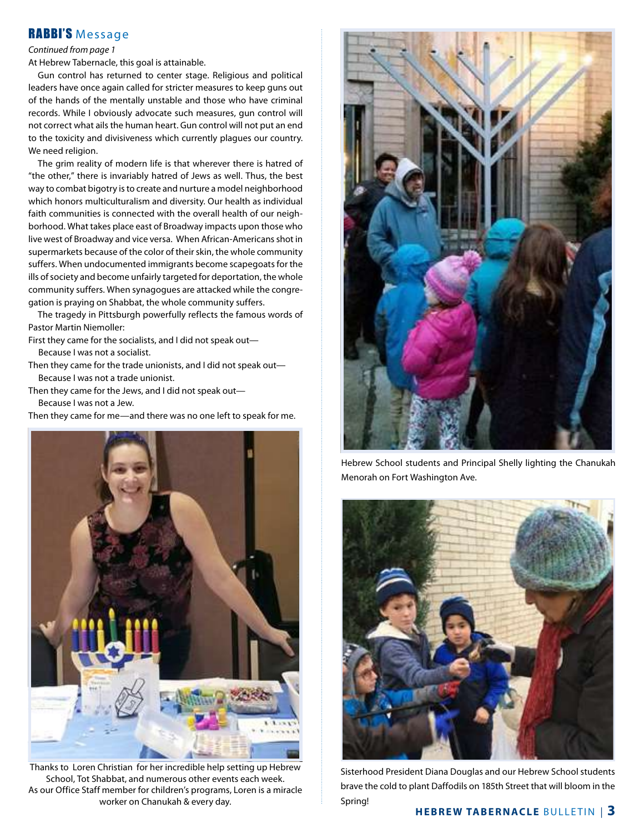#### RABBI'S Message

#### *Continued from page 1*

at hebrew tabernacle, this goal is attainable.

Gun control has returned to center stage. Religious and political leaders have once again called for stricter measures to keep guns out of the hands of the mentally unstable and those who have criminal records. While I obviously advocate such measures, gun control will not correct what ails the human heart. Gun control will not put an end to the toxicity and divisiveness which currently plagues our country. We need religion.

The grim reality of modern life is that wherever there is hatred of "the other," there is invariably hatred of Jews as well. Thus, the best way to combat bigotry is to create and nurture a model neighborhood which honors multiculturalism and diversity. Our health as individual faith communities is connected with the overall health of our neighborhood. What takes place east of Broadway impacts upon those who live west of Broadway and vice versa. When African-Americans shot in supermarkets because of the color of their skin, the whole community suffers. When undocumented immigrants become scapegoats for the ills of society and become unfairly targeted for deportation, the whole community suffers. When synagogues are attacked while the congregation is praying on Shabbat, the whole community suffers.

 the tragedy in Pittsburgh powerfully reflects the famous words of Pastor Martin Niemoller:

First they came for the socialists, and I did not speak out—

Because I was not a socialist.

Then they came for the trade unionists, and I did not speak out-Because I was not a trade unionist.

Then they came for the Jews, and I did not speak out-Because I was not a Jew.

then they came for me—and there was no one left to speak for me.



Thanks to Loren Christian for her incredible help setting up Hebrew School, Tot Shabbat, and numerous other events each week. as our Office Staff member for children's programs, Loren is a miracle worker on Chanukah & every day.

![](_page_2_Picture_13.jpeg)

hebrew School students and Principal Shelly lighting the Chanukah Menorah on Fort Washington Ave.

![](_page_2_Picture_15.jpeg)

Sisterhood President Diana Douglas and our Hebrew School students brave the cold to plant Daffodils on 185th Street that will bloom in the Spring!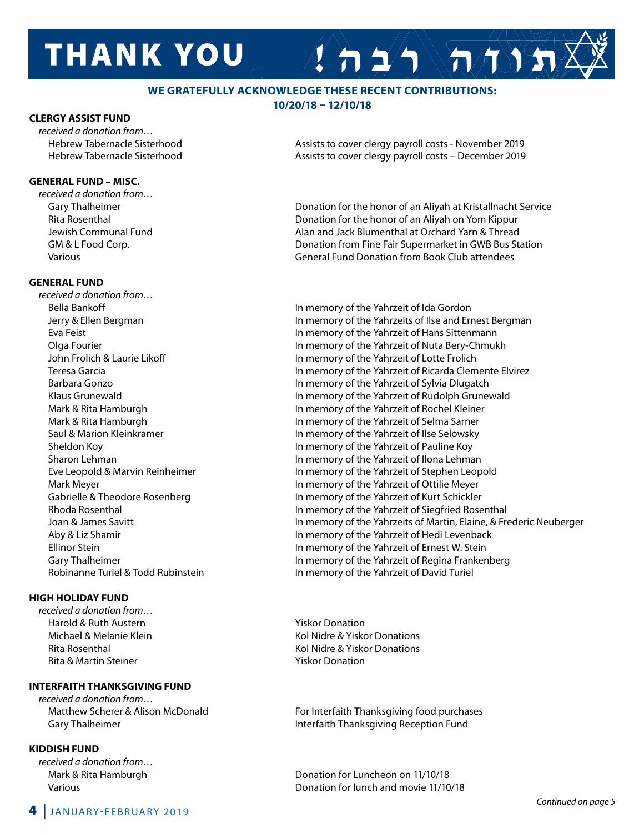# **THANK YOU**

#### **we GrATeFuLLY AcKnowLedGe THeSe recenT conTriBuTionS: 10/20/18 – 12/10/18**

#### **cLerGY ASSiST Fund**

*received a donation from…*

#### **GenerAL Fund – MiSc.**

*received a donation from…*

#### **GenerAL Fund**

*received a donation from…* Robinanne Turiel & Todd Rubinstein In memory of the Yahrzeit of David Turiel

#### **HiGH HoLidAY Fund**

*received a donation from…* Harold & Ruth Austern Yiskor Donation Rita & Martin Steiner Yiskor Donation

#### **inTerFAiTH THAnKSGivinG Fund**

*received a donation from…*

#### **KiddiSH Fund**

*received a donation from…*

 hebrew tabernacle Sisterhood assists to cover clergy payroll costs - November 2019 Hebrew Tabernacle Sisterhood assists to cover clergy payroll costs – December 2019

 $A 2/2$   $\sqrt{\pi N}$ 

Gary Thalheimer **donation for the honor of an Aliyah at Kristallnacht Service** Conation for the honor of an Aliyah at Kristallnacht Service Rita Rosenthal **rita rose in the honor of an aliyah on Yom Kippur** Donation for the honor of an Aliyah on Yom Kippur Jewish Communal Fund **alan alack Blumenthal at Orchard Yarn & Thread** Jack Blumenthal at Orchard Yarn & Thread GM & L Food Corp. **donation from Fine Fair Supermarket in GWB Bus Station** COM & L Food Corp. various General Fund donation from Book Club attendees

 Bella Bankoff In memory of the Yahrzeit of Ida Gordon Jerry & Ellen Bergman **In memory of the Yahrzeits of Ilse and Ernest Bergman**  eva Feist In memory of the Yahrzeit of hans Sittenmann Olga Fourier In memory of the Yahrzeit of Nuta Bery-Chmukh John Frolich & Laurie Likoff In memory of the Yahrzeit of Lotte Frolich teresa Garcia In memory of the Yahrzeit of ricarda Clemente elvirez Barbara Gonzo **In memory of the Yahrzeit of Sylvia Dlugatch** In memory of the Yahrzeit of Sylvia Dlugatch Klaus Grunewald **In memory of the Yahrzeit of Rudolph Grunewald** Mark & Rita Hamburgh **In memory of the Yahrzeit of Rochel Kleiner** In memory of the Yahrzeit of Rochel Kleiner Mark & Rita Hamburgh **In memory of the Yahrzeit of Selma Sarner** Saul & Marion Kleinkramer **In memory of the Yahrzeit of Ilse Selowsky** Sheldon Koy **In memory of the Yahrzeit of Pauline Koy** Sharon Lehman **In memory of the Yahrzeit of Ilona Lehman** Eve Leopold & Marvin Reinheimer **In Markell and Stephen Leopold** In memory of the Yahrzeit of Stephen Leopold Mark Meyer **In memory of the Yahrzeit of Ottilie Meyer** In memory of the Yahrzeit of Ottilie Meyer Gabrielle & Theodore Rosenberg In memory of the Yahrzeit of Kurt Schickler Rhoda Rosenthal **In memory of the Yahrzeit of Siegfried Rosenthal** In memory of the Yahrzeit of Siegfried Rosenthal Joan & James Savitt In memory of the Yahrzeits of Martin, elaine, & Frederic Neuberger aby & Liz Shamir In memory of the Yahrzeit of hedi Levenback ellinor Stein In memory of the Yahrzeit of ernest W. Stein Gary Thalheimer **In memory of the Yahrzeit of Regina Frankenberg** In memory of the Yahrzeit of Regina Frankenberg

Michael & Melanie Klein **Kollanie Klein Kol Nidre & Yiskor Donations** Rita Rosenthal **Rita Rosenthal Communist Rita Rosenthal** Kol Nidre & Yiskor Donations

Matthew Scherer & Alison McDonald For Interfaith Thanksgiving food purchases Gary Thalheimer **Interfaith thanksgiving Reception Fund** 

Mark & Rita Hamburgh down the control of Luncheon on 11/10/18 various donation for lunch and movie 11/10/18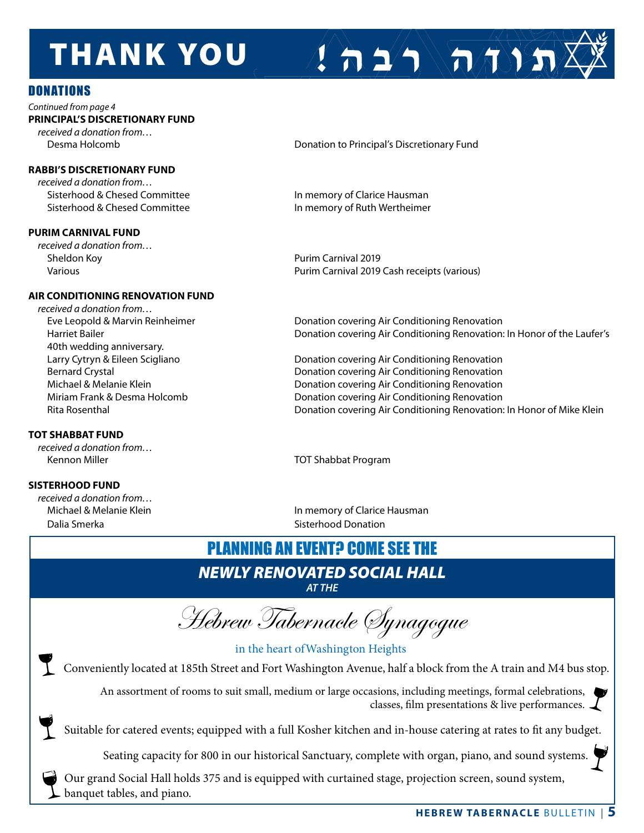# **THANK YOU**

#### DONATIONS

*Continued from page 4* **PrinciPAL'S diScreTionArY Fund** *received a donation from…*

#### **rABBi'S diScreTionArY Fund**

*received a donation from…* Sisterhood & Chesed Committee **In memory of Clarice Hausman** 

#### **PuriM cArnivAL Fund**

*received a donation from…* Sheldon Koy Purim Carnival 2019

#### **Air condiTioninG renovATion Fund**

*received a donation from…* 40th wedding anniversary.

#### **ToT SHABBAT Fund**

*received a donation from…* Kennon Miller to Shabbat Program and Shabbat Program and Shabbat Program and Shabbat Program and Shabbat Program

#### **SiSTerHood Fund**

*received a donation from…* Dalia Smerka **Sistema Sistem Sisterhood Donation** 

Desma Holcomb **donation to Principal's Discretionary Fund** 

 $\sum_{i=1}^{n}$ 

Sisterhood & Chesed Committee **In memory of Ruth Wertheimer** 

various Purim Carnival 2019 Cash receipts (various)

Eve Leopold & Marvin Reinheimer donation covering Air Conditioning Renovation Harriet Bailer **does a condition coverting air Conditioning Renovation: In Honor of the Laufer's** 

Larry Cytryn & Eileen Scigliano **donation covertion covering Air Conditioning Renovation** Bernard Crystal donation covering Air Conditioning Renovation covering air Conditioning Renovation Michael & Melanie Klein donation covering Air Conditioning Renovation covering air Conditioning Renovation Miriam Frank & Desma Holcomb donation covering Air Conditioning Renovation Rita Rosenthal **Rita Rosenthal** donation covering Air Conditioning Renovation: In Honor of Mike Klein

Michael & Melanie Klein In memory of Clarice hausman

### PLANNING AN EVENT? COME SEE THE

#### *NEWLY RENOVATED SOCIAL HALL AT THE*

Hebrew Tabernacle Synagogue

in the heart ofWashington Heights

Conveniently located at 185th Street and Fort Washington Avenue, half a block from the A train and M4 bus stop.

An assortment of rooms to suit small, medium or large occasions, including meetings, formal celebrations, classes, film presentations & live performances.

Suitable for catered events; equipped with a full Kosher kitchen and in-house catering at rates to fit any budget.

Seating capacity for 800 in our historical Sanctuary, complete with organ, piano, and sound systems.

Our grand Social Hall holds 375 and is equipped with curtained stage, projection screen, sound system, banquet tables, and piano.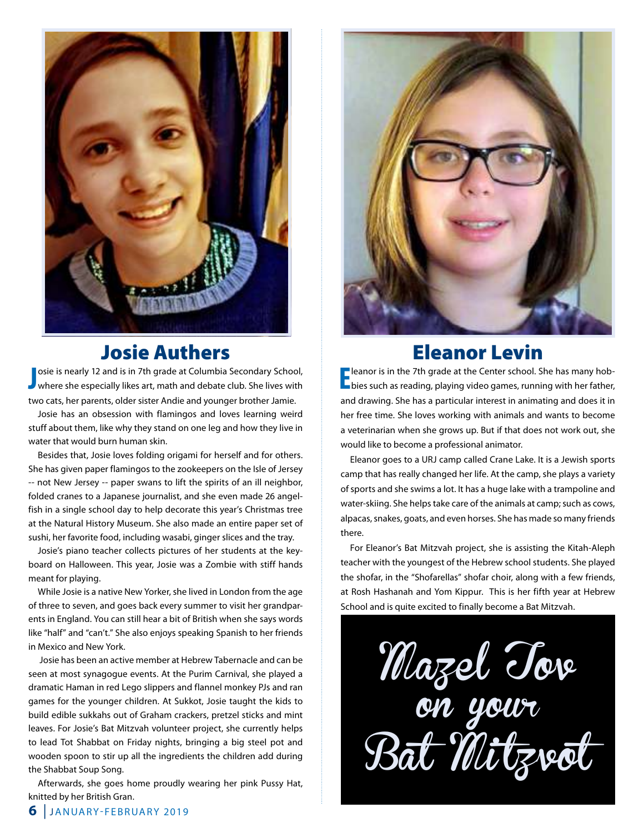![](_page_5_Picture_0.jpeg)

### Josie Authers

**J** osie is nearly 12 and is in 7th grade at Columbia Secondary School,<br>where she especially likes art, math and debate club. She lives with osie is nearly 12 and is in 7th grade at Columbia Secondary School, two cats, her parents, older sister Andie and younger brother Jamie.

Josie has an obsession with flamingos and loves learning weird stuff about them, like why they stand on one leg and how they live in water that would burn human skin.

Besides that, Josie loves folding origami for herself and for others. She has given paper flamingos to the zookeepers on the Isle of Jersey -- not New Jersey -- paper swans to lift the spirits of an ill neighbor, folded cranes to a Japanese journalist, and she even made 26 angelfish in a single school day to help decorate this year's Christmas tree at the Natural History Museum. She also made an entire paper set of sushi, her favorite food, including wasabi, ginger slices and the tray.

Josie's piano teacher collects pictures of her students at the keyboard on halloween. this year, Josie was a Zombie with stiff hands meant for playing.

While Josie is a native New Yorker, she lived in London from the age of three to seven, and goes back every summer to visit her grandparents in England. You can still hear a bit of British when she says words like "half" and "can't." She also enjoys speaking Spanish to her friends in Mexico and New York.

 Josie has been an active member at hebrew tabernacle and can be seen at most synagogue events. At the Purim Carnival, she played a dramatic haman in red Lego slippers and flannel monkey PJs and ran games for the younger children. at Sukkot, Josie taught the kids to build edible sukkahs out of Graham crackers, pretzel sticks and mint leaves. For Josie's Bat Mitzvah volunteer project, she currently helps to lead Tot Shabbat on Friday nights, bringing a big steel pot and wooden spoon to stir up all the ingredients the children add during the Shabbat Soup Song.

 afterwards, she goes home proudly wearing her pink Pussy hat, knitted by her British Gran.

![](_page_5_Picture_9.jpeg)

### Eleanor Levin

**E** leanor is in the 7th grade at the Center school. She has many hob-<br>bies such as reading, playing video games, running with her father, **Pleanor is in the 7th grade at the Center school. She has many hob**and drawing. She has a particular interest in animating and does it in her free time. She loves working with animals and wants to become a veterinarian when she grows up. But if that does not work out, she would like to become a professional animator.

Eleanor goes to a URJ camp called Crane Lake. It is a Jewish sports camp that has really changed her life. At the camp, she plays a variety of sports and she swims a lot. It has a huge lake with a trampoline and water-skiing. She helps take care of the animals at camp; such as cows, alpacas, snakes, goats, and even horses. She has made so many friends there.

For Eleanor's Bat Mitzvah project, she is assisting the Kitah-Aleph teacher with the youngest of the hebrew school students. She played the shofar, in the "Shofarellas" shofar choir, along with a few friends, at Rosh Hashanah and Yom Kippur. This is her fifth year at Hebrew School and is quite excited to finally become a Bat Mitzvah.

Mazel Tov on your Bal *Mu* tzvol

**6** JANUARY-FEBRUARY 2019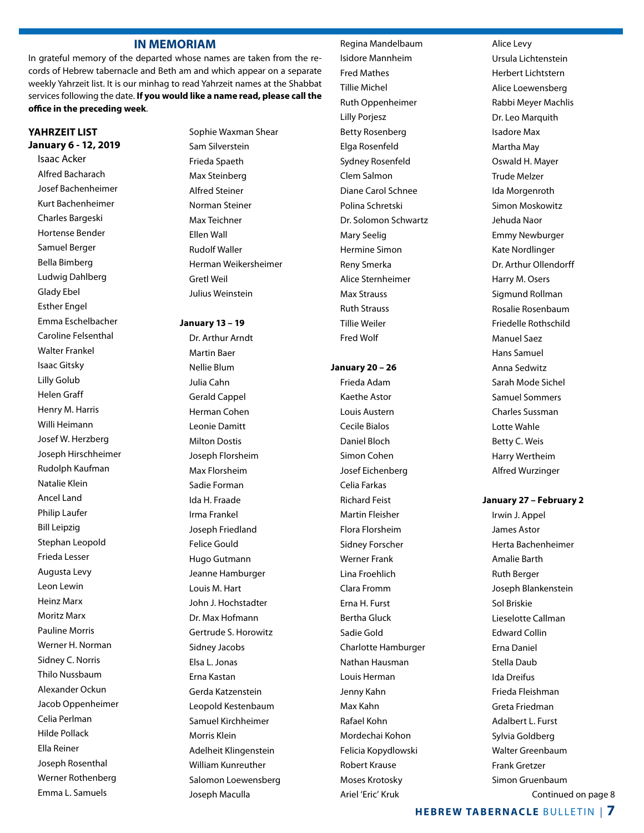#### **in MeMoriAM**

In grateful memory of the departed whose names are taken from the records of hebrew tabernacle and Beth am and which appear on a separate weekly Yahrzeit list. It is our minhag to read Yahrzeit names at the Shabbat services following the date. **if you would like a name read, please call the office in the preceding week**.

#### **YAHrZeiT LiST January 6 - 12, 2019**

 Isaac acker alfred Bacharach Josef Bachenheimer Kurt Bachenheimer Charles Bargeski hortense Bender Samuel Berger Bella Bimberg Ludwig Dahlberg Glady ebel **Esther Engel**  emma eschelbacher Caroline Felsenthal Walter Frankel Isaac Gitsky Lilly Golub helen Graff henry M. harris Willi Heimann Josef W. herzberg Joseph hirschheimer **Rudolph Kaufman**  Natalie Klein ancel Land Philip Laufer Bill Leipzig Stephan Leopold Frieda Lesser Augusta Levy Leon Lewin heinz Marx Moritz Marx Pauline Morris Werner H. Norman Sidney C. Norris Thilo Nussbaum alexander Ockun Jacob Oppenheimer Celia Perlman hilde Pollack Ella Reiner Joseph Rosenthal Werner Rothenberg emma L. Samuels

Sophie Waxman Shear Sam Silverstein Frieda Spaeth Max Steinberg alfred Steiner Norman Steiner Max Teichner **Fllen Wall Rudolf Waller**  herman Weikersheimer Gretl Weil Julius Weinstein

#### **January 13 – 19**

Dr. Arthur Arndt Martin Baer Nellie Blum Julia Cahn Gerald Cappel herman Cohen Leonie Damitt **Milton Dostis**  Joseph Florsheim Max Florsheim Sadie Forman Ida h. Fraade Irma Frankel Joseph Friedland Felice Gould hugo Gutmann Jeanne Hamburger Louis M. hart John J. hochstadter Dr. Max Hofmann Gertrude S. horowitz Sidney Jacobs elsa L. Jonas Erna Kastan Gerda Katzenstein Leopold Kestenbaum Samuel Kirchheimer Morris Klein adelheit Klingenstein William Kunreuther Salomon Loewensberg Joseph Maculla

Regina Mandelbaum Isidore Mannheim Fred Mathes tillie Michel **Ruth Oppenheimer** Lilly Porjesz **Betty Rosenberg** Elga Rosenfeld Sydney Rosenfeld Clem Salmon Diane Carol Schnee Polina Schretski Dr. Solomon Schwartz Mary Seelig hermine Simon Reny Smerka alice Sternheimer Max Strauss **Ruth Strauss**  tillie Weiler Fred Wolf

#### **January 20 – 26**

Frieda Adam Kaethe astor Louis Austern Cecile Bialos Daniel Bloch Simon Cohen Josef Eichenberg Celia Farkas **Richard Feist**  Martin Fleisher Flora Florsheim Sidney Forscher Werner Frank Lina Froehlich Clara Fromm Erna H. Furst Bertha Gluck Sadie Gold Charlotte hamburger Nathan hausman Louis herman Jenny Kahn Max Kahn Rafael Kohn Mordechai Kohon Felicia Kopydlowski **Robert Krause**  Moses Krotosky Ariel 'Eric' Kruk

 alice Levy Ursula Lichtenstein herbert Lichtstern alice Loewensberg Rabbi Meyer Machlis Dr. Leo Marquith Isadore Max Martha May Oswald h. Mayer **Trude Melzer** Ida Morgenroth Simon Moskowitz Jehuda Naor **Emmy Newburger** Kate Nordlinger Dr. Arthur Ollendorff harry M. Osers Sigmund Rollman Rosalie Rosenbaum Friedelle Rothschild Manuel Saez hans Samuel anna Sedwitz Sarah Mode Sichel Samuel Sommers Charles Sussman Lotte Wahle Betty C. Weis harry Wertheim

#### **January 27 – February 2**

alfred Wurzinger

Irwin J. Appel James Astor herta Bachenheimer amalie Barth **Ruth Berger** Joseph Blankenstein Sol Briskie Lieselotte Callman **Edward Collin** Erna Daniel Stella Daub Ida Dreifus Frieda Fleishman Greta Friedman adalbert L. Furst Sylvia Goldberg Walter Greenbaum Frank Gretzer Simon Gruenbaum Continued on page 8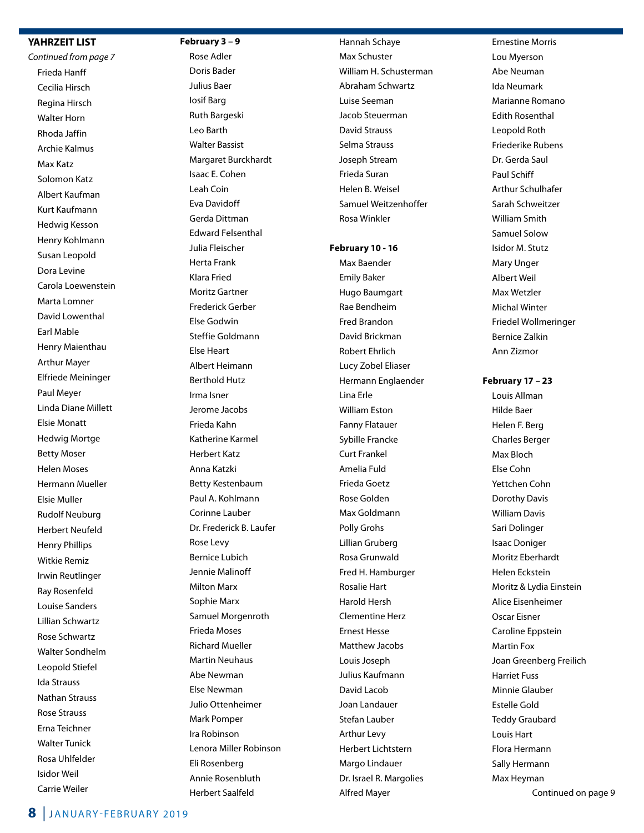#### **YAHrZeiT LiST**

*Continued from page 7* Frieda hanff Cecilia hirsch Regina Hirsch Walter horn Rhoda Jaffin archie Kalmus Max Katz Solomon Katz albert Kaufman Kurt Kaufmann hedwig Kesson henry Kohlmann Susan Leopold Dora Levine Carola Loewenstein Marta Lomner David Lowenthal Earl Mable henry Maienthau arthur Mayer elfriede Meininger Paul Meyer Linda Diane Millett Elsie Monatt hedwig Mortge Betty Moser helen Moses hermann Mueller Elsie Muller **Rudolf Neuburg**  herbert Neufeld henry Phillips Witkie Remiz Irwin Reutlinger **Ray Rosenfeld** Louise Sanders Lillian Schwartz Rose Schwartz Walter Sondhelm Leopold Stiefel Ida Strauss Nathan Strauss **Rose Strauss** Erna Teichner **Walter Tunick**  rosa Uhlfelder Isidor Weil Carrie Weiler

#### **February 3 – 9**

Rose Adler Doris Bader Julius Baer Iosif Barg **Ruth Bargeski**  Leo Barth Walter Bassist Margaret Burckhardt Isaac E. Cohen Leah Coin Eva Davidoff Gerda Dittman **Edward Felsenthal**  Julia Fleischer herta Frank Klara Fried Moritz Gartner Frederick Gerber Else Godwin Steffie Goldmann else heart albert heimann Berthold hutz Irma Isner Jerome Jacobs Frieda Kahn Katherine Karmel herbert Katz anna Katzki Betty Kestenbaum Paul A. Kohlmann Corinne Lauber Dr. Frederick B. Laufer Rose Levy Bernice Lubich Jennie Malinoff Milton Marx Sophie Marx Samuel Morgenroth Frieda Moses richard Mueller Martin Neuhaus abe Newman Else Newman Julio Ottenheimer Mark Pomper Ira Robinson Lenora Miller Robinson Eli Rosenberg Annie Rosenbluth herbert Saalfeld

 hannah Schaye Max Schuster William H. Schusterman abraham Schwartz Luise Seeman Jacob Steuerman David Strauss Selma Strauss Joseph Stream Frieda Suran helen B. Weisel Samuel Weitzenhoffer Rosa Winkler

#### **February 10 - 16**

Max Baender **Emily Baker**  hugo Baumgart Rae Bendheim Fred Brandon David Brickman robert ehrlich Lucy Zobel Eliaser Hermann Englaender Lina Erle **William Eston** Fanny Flatauer Sybille Francke Curt Frankel amelia Fuld Frieda Goetz Rose Golden Max Goldmann Polly Grohs Lillian Gruberg Rosa Grunwald Fred H. Hamburger **Rosalie Hart**  harold hersh Clementine herz **Ernest Hesse**  Matthew Jacobs Louis Joseph Julius Kaufmann David Lacob Joan Landauer Stefan Lauber arthur Levy herbert Lichtstern Margo Lindauer Dr. Israel R. Margolies alfred Mayer

**Ernestine Morris** Lou Myerson abe Neuman Ida Neumark Marianne Romano **Edith Rosenthal** Leopold Roth Friederike Rubens Dr. Gerda Saul Paul Schiff arthur Schulhafer Sarah Schweitzer William Smith Samuel Solow Isidor M. Stutz Mary Unger albert Weil Max Wetzler Michal Winter Friedel Wollmeringer Bernice Zalkin ann Zizmor

**February 17 – 23**

Louis Allman hilde Baer helen F. Berg Charles Berger Max Bloch else Cohn Yettchen Cohn Dorothy Davis **William Davis** Sari Dolinger **Isaac Doniger** Moritz Eberhardt Helen Eckstein Moritz & Lydia Einstein Alice Eisenheimer Oscar Eisner Caroline Eppstein Martin Fox Joan Greenberg Freilich harriet Fuss Minnie Glauber Estelle Gold **Teddy Graubard** Louis hart Flora Hermann Sally hermann Max Heyman Continued on page 9

```
8 JANUARY-FEBRUARY 2019
```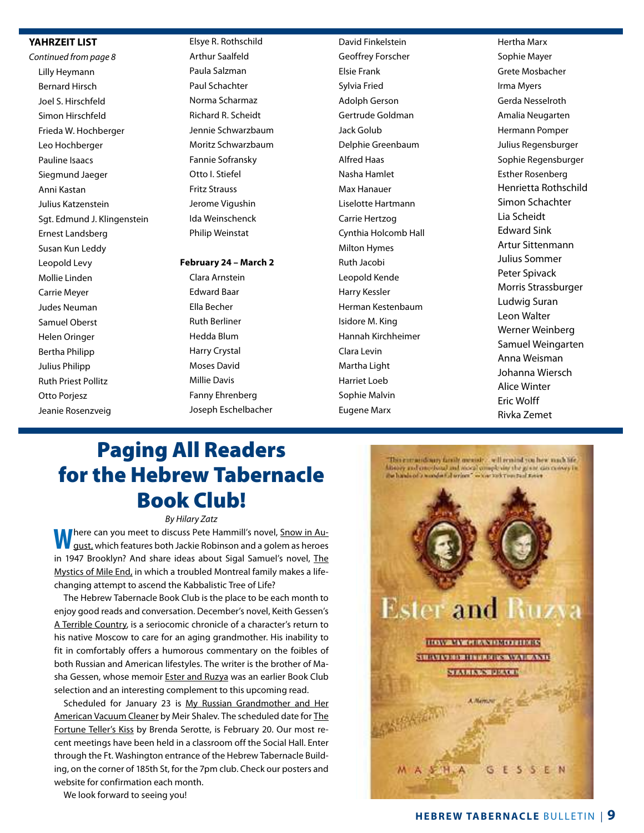#### **YAHrZeiT LiST**

*Continued from page 8* Lilly heymann Bernard hirsch Joel S. hirschfeld Simon Hirschfeld Frieda W. hochberger Leo Hochberger Pauline Isaacs Siegmund Jaeger anni Kastan Julius Katzenstein Sgt. Edmund J. Klingenstein Ernest Landsberg Susan Kun Leddy Leopold Levy Mollie Linden Carrie Meyer Judes Neuman Samuel Oberst helen Oringer Bertha Philipp Julius Philipp **Ruth Priest Pollitz** Otto Porjesz Jeanie Rosenzveig

Elsye R. Rothschild arthur Saalfeld Paula Salzman Paul Schachter Norma Scharmaz Richard R. Scheidt Jennie Schwarzbaum Moritz Schwarzbaum Fannie Sofransky Otto I. Stiefel Fritz Strauss Jerome Vigushin Ida Weinschenck Philip Weinstat

#### **February 24 – March 2**

Clara Arnstein **Edward Baar**  ella Becher **Ruth Berliner**  hedda Blum harry Crystal Moses David Millie Davis Fanny Ehrenberg Joseph Eschelbacher

David Finkelstein Geoffrey Forscher **Elsie Frank** Sylvia Fried adolph Gerson Gertrude Goldman Jack Golub Delphie Greenbaum alfred haas Nasha Hamlet **Max Hanauer** Liselotte hartmann Carrie hertzog Cynthia holcomb hall **Milton Hymes Ruth Jacobi** Leopold Kende harry Kessler herman Kestenbaum Isidore M. King hannah Kirchheimer Clara Levin Martha Light harriet Loeb Sophie Malvin **Eugene Marx** 

 hertha Marx Sophie Mayer Grete Mosbacher Irma Myers Gerda Nesselroth amalia Neugarten hermann Pomper Julius Regensburger Sophie Regensburger Esther Rosenberg Henrietta Rothschild Simon Schachter Lia Scheidt **Edward Sink**  artur Sittenmann Julius Sommer Peter Spivack Morris Strassburger Ludwig Suran Leon Walter Werner Weinberg Samuel Weingarten Anna Weisman Johanna Wiersch alice Winter **Eric Wolff** Rivka Zemet

### Paging All Readers for the Hebrew Tabernacle Book Club!

*By Hilary Zatz*

**There can you meet to discuss Pete Hammill's novel, Snow in August**, which features both Jackie Robinson and a golem as heroes in 1947 Brooklyn? And share ideas about Sigal Samuel's novel, The Mystics of Mile End, in which a troubled Montreal family makes a lifechanging attempt to ascend the Kabbalistic Tree of Life?

The Hebrew Tabernacle Book Club is the place to be each month to enjoy good reads and conversation. December's novel, Keith Gessen's A Terrible Country, is a seriocomic chronicle of a character's return to his native Moscow to care for an aging grandmother. His inability to fit in comfortably offers a humorous commentary on the foibles of both Russian and American lifestyles. The writer is the brother of Masha Gessen, whose memoir **Ester and Ruzya** was an earlier Book Club selection and an interesting complement to this upcoming read.

Scheduled for January 23 is My Russian Grandmother and Her American Vacuum Cleaner by Meir Shalev. The scheduled date for The Fortune Teller's Kiss by Brenda Serotte, is February 20. Our most recent meetings have been held in a classroom off the Social Hall. Enter through the Ft. Washington entrance of the Hebrew Tabernacle Building, on the corner of 185th St, for the 7pm club. Check our posters and website for confirmation each month.

We look forward to seeing you!

![](_page_8_Picture_13.jpeg)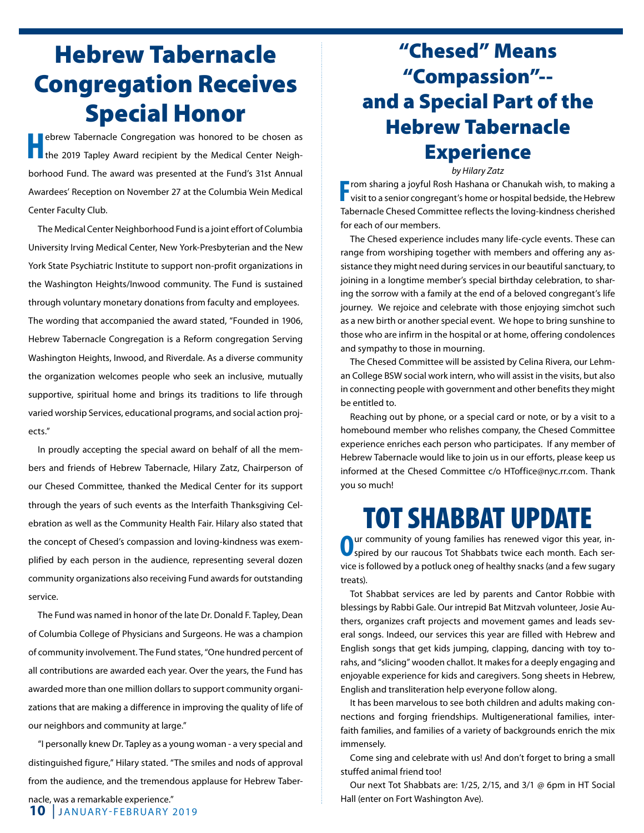## Hebrew Tabernacle Congregation Receives Special Honor

ebrew Tabernacle Congregation was honored to be chosen as the 2019 Tapley Award recipient by the Medical Center Neighborhood Fund. The award was presented at the Fund's 31st Annual Awardees' Reception on November 27 at the Columbia Wein Medical Center Faculty Club.

 the Medical Center Neighborhood Fund is a joint effort of Columbia University Irving Medical Center, New York-Presbyterian and the New York State Psychiatric Institute to support non-profit organizations in the Washington Heights/Inwood community. The Fund is sustained through voluntary monetary donations from faculty and employees. The wording that accompanied the award stated, "Founded in 1906, Hebrew Tabernacle Congregation is a Reform congregation Serving Washington Heights, Inwood, and Riverdale. As a diverse community the organization welcomes people who seek an inclusive, mutually supportive, spiritual home and brings its traditions to life through varied worship Services, educational programs, and social action projects."

In proudly accepting the special award on behalf of all the members and friends of hebrew tabernacle, hilary Zatz, Chairperson of our Chesed Committee, thanked the Medical Center for its support through the years of such events as the Interfaith Thanksgiving Celebration as well as the Community Health Fair. Hilary also stated that the concept of Chesed's compassion and loving-kindness was exemplified by each person in the audience, representing several dozen community organizations also receiving Fund awards for outstanding service.

The Fund was named in honor of the late Dr. Donald F. Tapley, Dean of Columbia College of Physicians and Surgeons. he was a champion of community involvement. The Fund states, "One hundred percent of all contributions are awarded each year. Over the years, the Fund has awarded more than one million dollars to support community organizations that are making a difference in improving the quality of life of our neighbors and community at large."

"I personally knew dr. tapley as a young woman - a very special and distinguished figure," Hilary stated. "The smiles and nods of approval from the audience, and the tremendous applause for Hebrew Taber-

## "Chesed" Means "Compassion"- and a Special Part of the Hebrew Tabernacle **Experience**

*by Hilary Zatz*

**F** rom sharing a joyful Rosh Hashana or Chanukah wish, to making a visit to a senior congregant's home or hospital bedside, the Hebrew  $\blacksquare$  rom sharing a joyful Rosh Hashana or Chanukah wish, to making a tabernacle Chesed Committee reflects the loving-kindness cherished for each of our members.

The Chesed experience includes many life-cycle events. These can range from worshiping together with members and offering any assistance they might need during services in our beautiful sanctuary, to joining in a longtime member's special birthday celebration, to sharing the sorrow with a family at the end of a beloved congregant's life journey. We rejoice and celebrate with those enjoying simchot such as a new birth or another special event. We hope to bring sunshine to those who are infirm in the hospital or at home, offering condolences and sympathy to those in mourning.

The Chesed Committee will be assisted by Celina Rivera, our Lehman College BSW social work intern, who will assist in the visits, but also in connecting people with government and other benefits they might be entitled to.

Reaching out by phone, or a special card or note, or by a visit to a homebound member who relishes company, the Chesed Committee experience enriches each person who participates. If any member of hebrew tabernacle would like to join us in our efforts, please keep us informed at the Chesed Committee c/o HToffice@nyc.rr.com. Thank you so much!

## TOT SHABBAT UPDATE

Our community of young families has renewed vigor this year, in-<br>spired by our raucous Tot Shabbats twice each month. Each service is followed by a potluck oneg of healthy snacks (and a few sugary treats).

Tot Shabbat services are led by parents and Cantor Robbie with blessings by Rabbi Gale. Our intrepid Bat Mitzvah volunteer, Josie Authers, organizes craft projects and movement games and leads several songs. Indeed, our services this year are filled with hebrew and english songs that get kids jumping, clapping, dancing with toy torahs, and "slicing" wooden challot. It makes for a deeply engaging and enjoyable experience for kids and caregivers. Song sheets in hebrew, English and transliteration help everyone follow along.

It has been marvelous to see both children and adults making connections and forging friendships. Multigenerational families, interfaith families, and families of a variety of backgrounds enrich the mix immensely.

Come sing and celebrate with us! And don't forget to bring a small stuffed animal friend too!

Our next Tot Shabbats are:  $1/25$ ,  $2/15$ , and  $3/1$  @ 6pm in HT Social Hall (enter on Fort Washington Ave).

nacle, was a remarkable experience."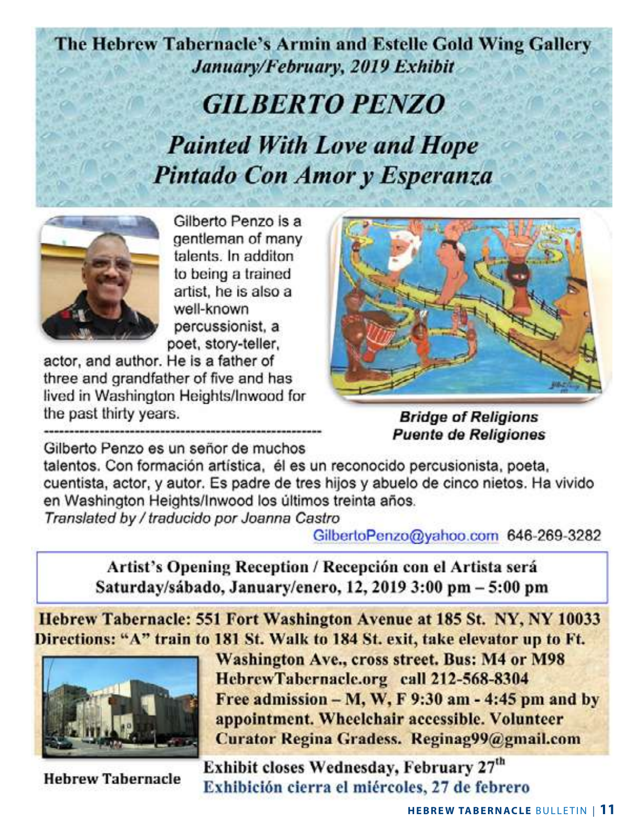### The Hebrew Tabernacle's Armin and Estelle Gold Wing Gallery January/February, 2019 Exhibit

# **GILBERTO PENZO Painted With Love and Hope** Pintado Con Amor y Esperanza

![](_page_10_Picture_2.jpeg)

Gilberto Penzo is a gentleman of many talents. In additon to being a trained artist, he is also a well-known percussionist, a poet, story-teller,

actor, and author. He is a father of three and grandfather of five and has lived in Washington Heights/Inwood for the past thirty years.

![](_page_10_Picture_5.jpeg)

**Bridge of Religions Puente de Religiones** 

Gilberto Penzo es un señor de muchos

talentos. Con formación artística, él es un reconocido percusionista, poeta, cuentista, actor, y autor. Es padre de tres hijos y abuelo de cinco nietos. Ha vivido en Washington Heights/Inwood los últimos treinta años. Translated by / traducido por Joanna Castro

GilbertoPenzo@yahoo.com 646-269-3282

Artist's Opening Reception / Recepción con el Artista será Saturday/sábado, January/enero, 12, 2019 3:00 pm - 5:00 pm

Hebrew Tabernacle: 551 Fort Washington Avenue at 185 St. NY, NY 10033 Directions: "A" train to 181 St. Walk to 184 St. exit, take elevator up to Ft.

![](_page_10_Picture_12.jpeg)

Washington Ave., cross street. Bus: M4 or M98 HebrewTabernacle.org call 212-568-8304 Free admission  $-M$ , W, F 9:30 am - 4:45 pm and by appointment. Wheelchair accessible. Volunteer Curator Regina Gradess. Reginag99@gmail.com

**Hebrew Tabernacle** 

Exhibit closes Wednesday, February 27th Exhibición cierra el miércoles, 27 de febrero